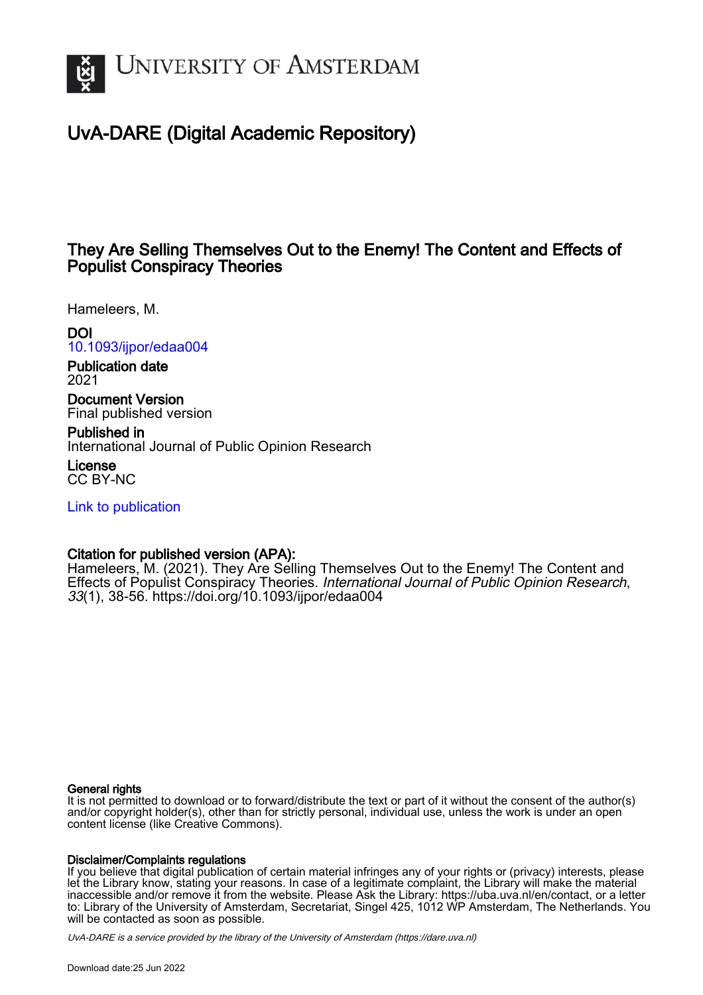

# UvA-DARE (Digital Academic Repository)

# They Are Selling Themselves Out to the Enemy! The Content and Effects of Populist Conspiracy Theories

Hameleers, M.

DOI

[10.1093/ijpor/edaa004](https://doi.org/10.1093/ijpor/edaa004)

Publication date 2021

Document Version Final published version

Published in International Journal of Public Opinion Research

License CC BY-NC

[Link to publication](https://dare.uva.nl/personal/pure/en/publications/they-are-selling-themselves-out-to-the-enemy-the-content-and-effects-of-populist-conspiracy-theories(77b10485-2a20-4a05-be41-350832849667).html)

# Citation for published version (APA):

Hameleers, M. (2021). They Are Selling Themselves Out to the Enemy! The Content and Effects of Populist Conspiracy Theories. International Journal of Public Opinion Research, 33(1), 38-56. <https://doi.org/10.1093/ijpor/edaa004>

# General rights

It is not permitted to download or to forward/distribute the text or part of it without the consent of the author(s) and/or copyright holder(s), other than for strictly personal, individual use, unless the work is under an open content license (like Creative Commons).

# Disclaimer/Complaints regulations

If you believe that digital publication of certain material infringes any of your rights or (privacy) interests, please let the Library know, stating your reasons. In case of a legitimate complaint, the Library will make the material inaccessible and/or remove it from the website. Please Ask the Library: https://uba.uva.nl/en/contact, or a letter to: Library of the University of Amsterdam, Secretariat, Singel 425, 1012 WP Amsterdam, The Netherlands. You will be contacted as soon as possible.

UvA-DARE is a service provided by the library of the University of Amsterdam (http*s*://dare.uva.nl)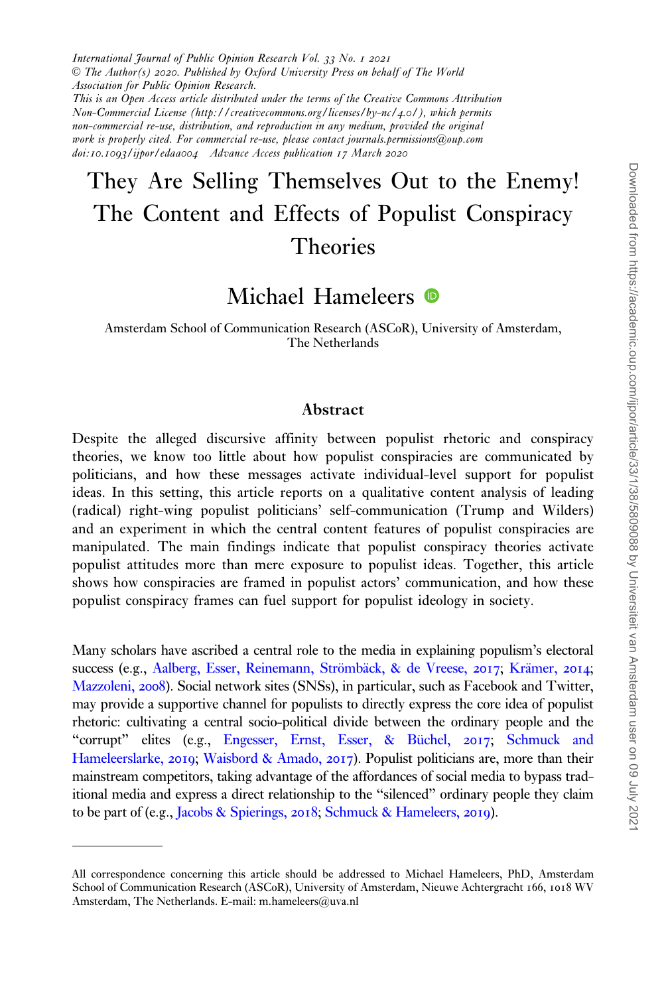International Journal of Public Opinion Research Vol. 33 No. 1 2021 V<sup>C</sup> The Author(s) 2020. Published by Oxford University Press on behalf of The World Association for Public Opinion Research. This is an Open Access article distributed under the terms of the Creative Commons Attribution

Non-Commercial License (http://creativecommons.org/licenses/by-nc/4.0/), which permits non-commercial re-use, distribution, and reproduction in any medium, provided the original work is properly cited. For commercial re-use, please contact journals.permissions@oup.com doi:10.1093/ijpor/edaa004 Advance Access publication 17 March 2020

# They Are Selling Themselves Out to the Enemy! The Content and Effects of Populist Conspiracy Theories

# Michael Hameleers <sup>®</sup>

Amsterdam School of Communication Research (ASCoR), University of Amsterdam, The Netherlands

#### Abstract

Despite the alleged discursive affinity between populist rhetoric and conspiracy theories, we know too little about how populist conspiracies are communicated by politicians, and how these messages activate individual-level support for populist ideas. In this setting, this article reports on a qualitative content analysis of leading (radical) right-wing populist politicians' self-communication (Trump and Wilders) and an experiment in which the central content features of populist conspiracies are manipulated. The main findings indicate that populist conspiracy theories activate populist attitudes more than mere exposure to populist ideas. Together, this article shows how conspiracies are framed in populist actors' communication, and how these populist conspiracy frames can fuel support for populist ideology in society.

Many scholars have ascribed a central role to the media in explaining populism's electoral success (e.g., Aalberg, Esser, Reinemann, Strömbäck, & de Vreese, 2017; Krämer, 2014; [Mazzoleni,](#page-18-0) 2008). Social network sites (SNSs), in particular, such as Facebook and Twitter, may provide a supportive channel for populists to directly express the core idea of populist rhetoric: cultivating a central socio-political divide between the ordinary people and the "corrupt" elites (e.g., [Engesser, Ernst, Esser,](#page-18-0) [& Bu¨chel,](#page-18-0) 2017; [Schmuck and](#page-18-0) [Hameleerslarke,](#page-18-0) 2019; [Waisbord & Amado,](#page-19-0) 2017). Populist politicians are, more than their mainstream competitors, taking advantage of the affordances of social media to bypass traditional media and express a direct relationship to the "silenced" ordinary people they claim to be part of (e.g., [Jacobs](#page-18-0) & [Spierings,](#page-18-0) 2018; [Schmuck & Hameleers,](#page-18-0) 2019).

All correspondence concerning this article should be addressed to Michael Hameleers, PhD, Amsterdam School of Communication Research (ASCoR), University of Amsterdam, Nieuwe Achtergracht 166, 1018 WV Amsterdam, The Netherlands. E-mail: m.hameleers@uva.nl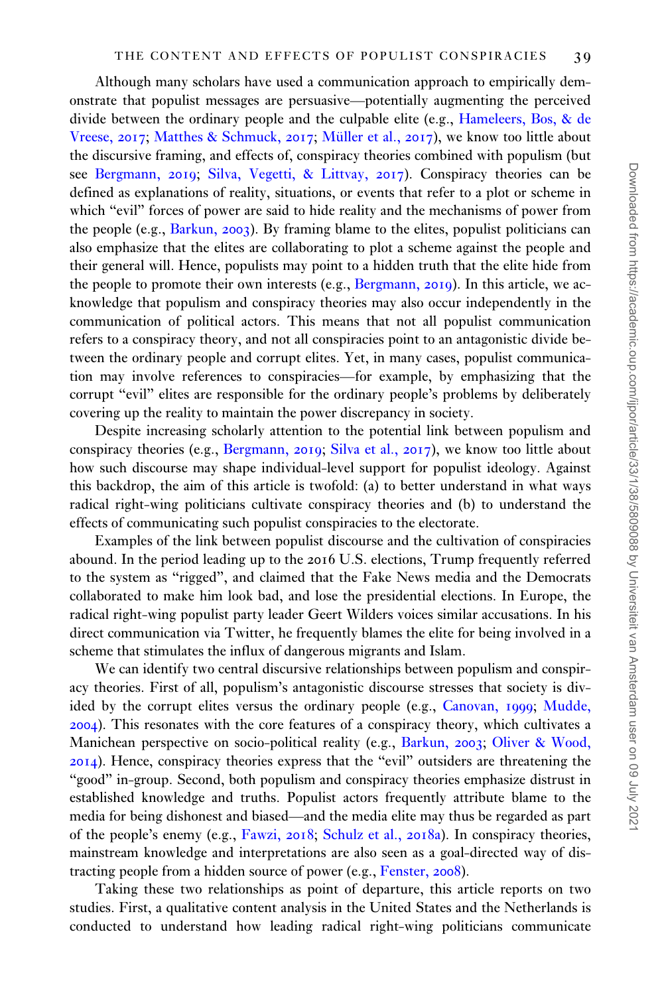Although many scholars have used a communication approach to empirically demonstrate that populist messages are persuasive—potentially augmenting the perceived divide between the ordinary people and the culpable elite (e.g., [Hameleers, Bos, & de](#page-18-0) [Vreese,](#page-18-0) 2017; [Matthes](#page-18-0) & [Schmuck,](#page-18-0) 2017; Müller et al., 2017), we know too little about the discursive framing, and effects of, conspiracy theories combined with populism (but see [Bergmann,](#page-17-0) 2019; [Silva, Vegetti,](#page-19-0) & [Littvay,](#page-19-0) 2017). Conspiracy theories can be defined as explanations of reality, situations, or events that refer to a plot or scheme in which "evil" forces of power are said to hide reality and the mechanisms of power from the people (e.g., [Barkun,](#page-17-0) 2003). By framing blame to the elites, populist politicians can also emphasize that the elites are collaborating to plot a scheme against the people and their general will. Hence, populists may point to a hidden truth that the elite hide from the people to promote their own interests (e.g., [Bergmann,](#page-17-0) 2019). In this article, we acknowledge that populism and conspiracy theories may also occur independently in the communication of political actors. This means that not all populist communication refers to a conspiracy theory, and not all conspiracies point to an antagonistic divide between the ordinary people and corrupt elites. Yet, in many cases, populist communication may involve references to conspiracies—for example, by emphasizing that the corrupt "evil" elites are responsible for the ordinary people's problems by deliberately covering up the reality to maintain the power discrepancy in society.

Despite increasing scholarly attention to the potential link between populism and conspiracy theories (e.g., [Bergmann,](#page-17-0) 2019; [Silva et al.,](#page-19-0) 2017), we know too little about how such discourse may shape individual-level support for populist ideology. Against this backdrop, the aim of this article is twofold: (a) to better understand in what ways radical right-wing politicians cultivate conspiracy theories and (b) to understand the effects of communicating such populist conspiracies to the electorate.

Examples of the link between populist discourse and the cultivation of conspiracies abound. In the period leading up to the 2016 U.S. elections, Trump frequently referred to the system as "rigged", and claimed that the Fake News media and the Democrats collaborated to make him look bad, and lose the presidential elections. In Europe, the radical right-wing populist party leader Geert Wilders voices similar accusations. In his direct communication via Twitter, he frequently blames the elite for being involved in a scheme that stimulates the influx of dangerous migrants and Islam.

We can identify two central discursive relationships between populism and conspiracy theories. First of all, populism's antagonistic discourse stresses that society is divided by the corrupt elites versus the ordinary people (e.g., [Canovan,](#page-17-0) 1999; [Mudde,](#page-18-0) [2004](#page-18-0)). This resonates with the core features of a conspiracy theory, which cultivates a Manichean perspective on socio-political reality (e.g., [Barkun,](#page-17-0) 2003; [Oliver & Wood,](#page-18-0) [2014](#page-18-0)). Hence, conspiracy theories express that the "evil" outsiders are threatening the "good" in-group. Second, both populism and conspiracy theories emphasize distrust in established knowledge and truths. Populist actors frequently attribute blame to the media for being dishonest and biased—and the media elite may thus be regarded as part of the people's enemy (e.g., [Fawzi,](#page-18-0) 2018; [Schulz et al.,](#page-19-0) 2018a). In conspiracy theories, mainstream knowledge and interpretations are also seen as a goal-directed way of distracting people from a hidden source of power (e.g., [Fenster,](#page-18-0) 2008).

Taking these two relationships as point of departure, this article reports on two studies. First, a qualitative content analysis in the United States and the Netherlands is conducted to understand how leading radical right-wing politicians communicate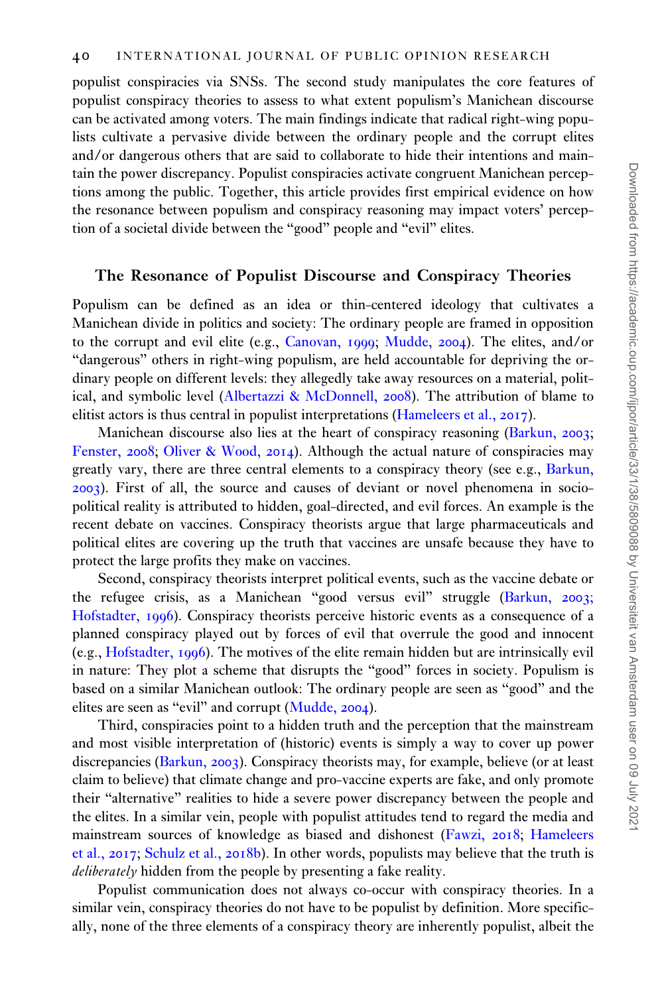populist conspiracies via SNSs. The second study manipulates the core features of populist conspiracy theories to assess to what extent populism's Manichean discourse can be activated among voters. The main findings indicate that radical right-wing populists cultivate a pervasive divide between the ordinary people and the corrupt elites and/or dangerous others that are said to collaborate to hide their intentions and maintain the power discrepancy. Populist conspiracies activate congruent Manichean perceptions among the public. Together, this article provides first empirical evidence on how the resonance between populism and conspiracy reasoning may impact voters' perception of a societal divide between the "good" people and "evil" elites.

#### The Resonance of Populist Discourse and Conspiracy Theories

Populism can be defined as an idea or thin-centered ideology that cultivates a Manichean divide in politics and society: The ordinary people are framed in opposition to the corrupt and evil elite (e.g., [Canovan,](#page-17-0) 1999; [Mudde,](#page-18-0) 2004). The elites, and/or "dangerous" others in right-wing populism, are held accountable for depriving the ordinary people on different levels: they allegedly take away resources on a material, political, and symbolic level [\(Albertazzi](#page-17-0) & [McDonnell,](#page-17-0) 2008). The attribution of blame to elitist actors is thus central in populist interpretations ([Hameleers et al.,](#page-18-0) 2017).

Manichean discourse also lies at the heart of conspiracy reasoning [\(Barkun,](#page-17-0) 2003; [Fenster,](#page-18-0) 2008; [Oliver](#page-18-0) [& Wood,](#page-18-0) 2014). Although the actual nature of conspiracies may greatly vary, there are three central elements to a conspiracy theory (see e.g., [Barkun,](#page-17-0) [2003](#page-17-0)). First of all, the source and causes of deviant or novel phenomena in sociopolitical reality is attributed to hidden, goal-directed, and evil forces. An example is the recent debate on vaccines. Conspiracy theorists argue that large pharmaceuticals and political elites are covering up the truth that vaccines are unsafe because they have to protect the large profits they make on vaccines.

Second, conspiracy theorists interpret political events, such as the vaccine debate or the refugee crisis, as a Manichean "good versus evil" struggle [\(Barkun,](#page-17-0) 2003; [Hofstadter,](#page-18-0) 1996). Conspiracy theorists perceive historic events as a consequence of a planned conspiracy played out by forces of evil that overrule the good and innocent (e.g., [Hofstadter,](#page-18-0) 1996). The motives of the elite remain hidden but are intrinsically evil in nature: They plot a scheme that disrupts the "good" forces in society. Populism is based on a similar Manichean outlook: The ordinary people are seen as "good" and the elites are seen as "evil" and corrupt ([Mudde,](#page-18-0) 2004).

Third, conspiracies point to a hidden truth and the perception that the mainstream and most visible interpretation of (historic) events is simply a way to cover up power discrepancies [\(Barkun,](#page-17-0) 2003). Conspiracy theorists may, for example, believe (or at least claim to believe) that climate change and pro-vaccine experts are fake, and only promote their "alternative" realities to hide a severe power discrepancy between the people and the elites. In a similar vein, people with populist attitudes tend to regard the media and mainstream sources of knowledge as biased and dishonest ([Fawzi,](#page-18-0) 2018; [Hameleers](#page-18-0) [et al.,](#page-18-0) 2017; [Schulz et al.,](#page-19-0) 2018b). In other words, populists may believe that the truth is deliberately hidden from the people by presenting a fake reality.

Populist communication does not always co-occur with conspiracy theories. In a similar vein, conspiracy theories do not have to be populist by definition. More specifically, none of the three elements of a conspiracy theory are inherently populist, albeit the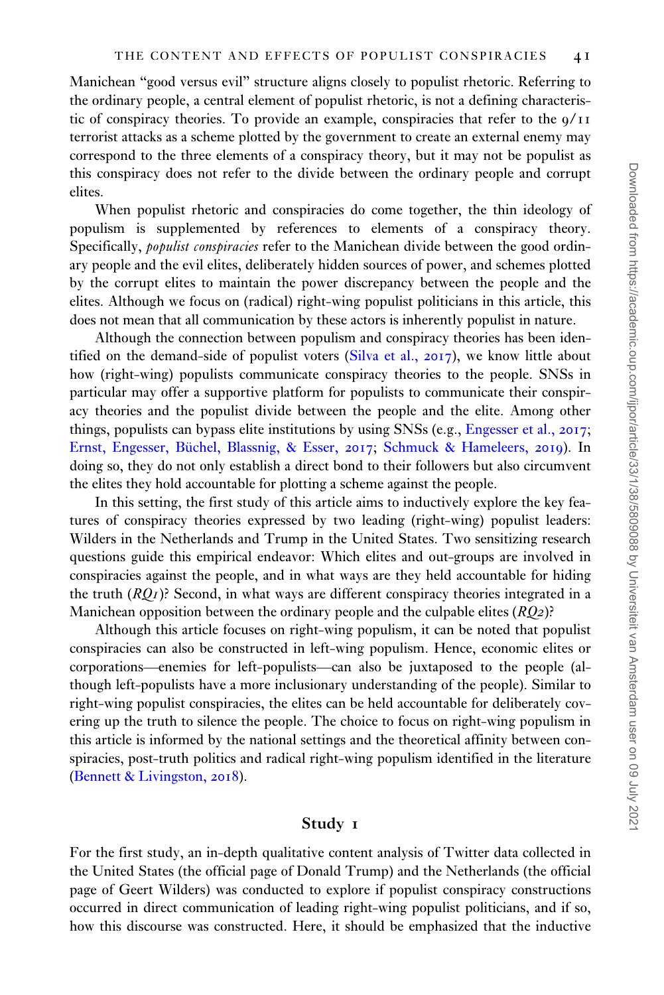Manichean "good versus evil" structure aligns closely to populist rhetoric. Referring to the ordinary people, a central element of populist rhetoric, is not a defining characteristic of conspiracy theories. To provide an example, conspiracies that refer to the 9/11 terrorist attacks as a scheme plotted by the government to create an external enemy may correspond to the three elements of a conspiracy theory, but it may not be populist as this conspiracy does not refer to the divide between the ordinary people and corrupt elites.

When populist rhetoric and conspiracies do come together, the thin ideology of populism is supplemented by references to elements of a conspiracy theory. Specifically, *populist conspiracies* refer to the Manichean divide between the good ordinary people and the evil elites, deliberately hidden sources of power, and schemes plotted by the corrupt elites to maintain the power discrepancy between the people and the elites. Although we focus on (radical) right-wing populist politicians in this article, this does not mean that all communication by these actors is inherently populist in nature.

Although the connection between populism and conspiracy theories has been identified on the demand-side of populist voters ([Silva et al.,](#page-19-0) 2017), we know little about how (right-wing) populists communicate conspiracy theories to the people. SNSs in particular may offer a supportive platform for populists to communicate their conspiracy theories and the populist divide between the people and the elite. Among other things, populists can bypass elite institutions by using SNSs (e.g., [Engesser et al.,](#page-18-0) 2017; Ernst, Engesser, Büchel, Blassnig, & [Esser,](#page-18-0) 2017; [Schmuck & Hameleers,](#page-18-0) 2019). In doing so, they do not only establish a direct bond to their followers but also circumvent the elites they hold accountable for plotting a scheme against the people.

In this setting, the first study of this article aims to inductively explore the key features of conspiracy theories expressed by two leading (right-wing) populist leaders: Wilders in the Netherlands and Trump in the United States. Two sensitizing research questions guide this empirical endeavor: Which elites and out-groups are involved in conspiracies against the people, and in what ways are they held accountable for hiding the truth  $(RQ_1)$ ? Second, in what ways are different conspiracy theories integrated in a Manichean opposition between the ordinary people and the culpable elites  $(RQ_2)$ ?

Although this article focuses on right-wing populism, it can be noted that populist conspiracies can also be constructed in left-wing populism. Hence, economic elites or corporations—enemies for left-populists—can also be juxtaposed to the people (although left-populists have a more inclusionary understanding of the people). Similar to right-wing populist conspiracies, the elites can be held accountable for deliberately covering up the truth to silence the people. The choice to focus on right-wing populism in this article is informed by the national settings and the theoretical affinity between conspiracies, post-truth politics and radical right-wing populism identified in the literature [\(Bennett](#page-17-0) & [Livingston,](#page-17-0) 2018).

#### Study 1

For the first study, an in-depth qualitative content analysis of Twitter data collected in the United States (the official page of Donald Trump) and the Netherlands (the official page of Geert Wilders) was conducted to explore if populist conspiracy constructions occurred in direct communication of leading right-wing populist politicians, and if so, how this discourse was constructed. Here, it should be emphasized that the inductive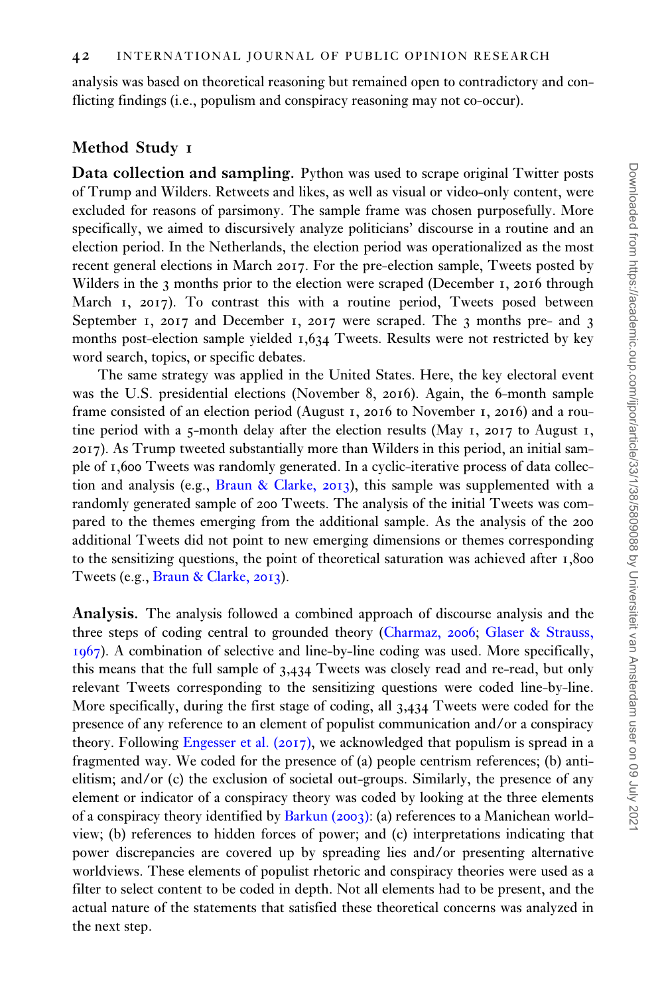analysis was based on theoretical reasoning but remained open to contradictory and conflicting findings (i.e., populism and conspiracy reasoning may not co-occur).

## Method Study 1

Data collection and sampling. Python was used to scrape original Twitter posts of Trump and Wilders. Retweets and likes, as well as visual or video-only content, were excluded for reasons of parsimony. The sample frame was chosen purposefully. More specifically, we aimed to discursively analyze politicians' discourse in a routine and an election period. In the Netherlands, the election period was operationalized as the most recent general elections in March 2017. For the pre-election sample, Tweets posted by Wilders in the 3 months prior to the election were scraped (December 1, 2016 through March 1, 2017). To contrast this with a routine period, Tweets posed between September 1, 2017 and December 1, 2017 were scraped. The 3 months pre- and 3 months post-election sample yielded 1,634 Tweets. Results were not restricted by key word search, topics, or specific debates.

The same strategy was applied in the United States. Here, the key electoral event was the U.S. presidential elections (November 8, 2016). Again, the 6-month sample frame consisted of an election period (August 1, 2016 to November 1, 2016) and a routine period with a 5-month delay after the election results (May 1, 2017 to August 1, 2017). As Trump tweeted substantially more than Wilders in this period, an initial sample of 1,600 Tweets was randomly generated. In a cyclic-iterative process of data collec-tion and analysis (e.g., [Braun](#page-17-0) & [Clarke,](#page-17-0) 2013), this sample was supplemented with a randomly generated sample of 200 Tweets. The analysis of the initial Tweets was compared to the themes emerging from the additional sample. As the analysis of the 200 additional Tweets did not point to new emerging dimensions or themes corresponding to the sensitizing questions, the point of theoretical saturation was achieved after 1,800 Tweets (e.g., [Braun & Clarke,](#page-17-0) 2013).

Analysis. The analysis followed a combined approach of discourse analysis and the three steps of coding central to grounded theory ([Charmaz,](#page-17-0) 2006; [Glaser](#page-18-0) [& Strauss,](#page-18-0) [1967](#page-18-0)). A combination of selective and line-by-line coding was used. More specifically, this means that the full sample of 3,434 Tweets was closely read and re-read, but only relevant Tweets corresponding to the sensitizing questions were coded line-by-line. More specifically, during the first stage of coding, all 3,434 Tweets were coded for the presence of any reference to an element of populist communication and/or a conspiracy theory. Following Engesser et al.  $(2017)$ , we acknowledged that populism is spread in a fragmented way. We coded for the presence of (a) people centrism references; (b) antielitism; and/or (c) the exclusion of societal out-groups. Similarly, the presence of any element or indicator of a conspiracy theory was coded by looking at the three elements of a conspiracy theory identified by [Barkun \(](#page-17-0)2003): (a) references to a Manichean worldview; (b) references to hidden forces of power; and (c) interpretations indicating that power discrepancies are covered up by spreading lies and/or presenting alternative worldviews. These elements of populist rhetoric and conspiracy theories were used as a filter to select content to be coded in depth. Not all elements had to be present, and the actual nature of the statements that satisfied these theoretical concerns was analyzed in the next step.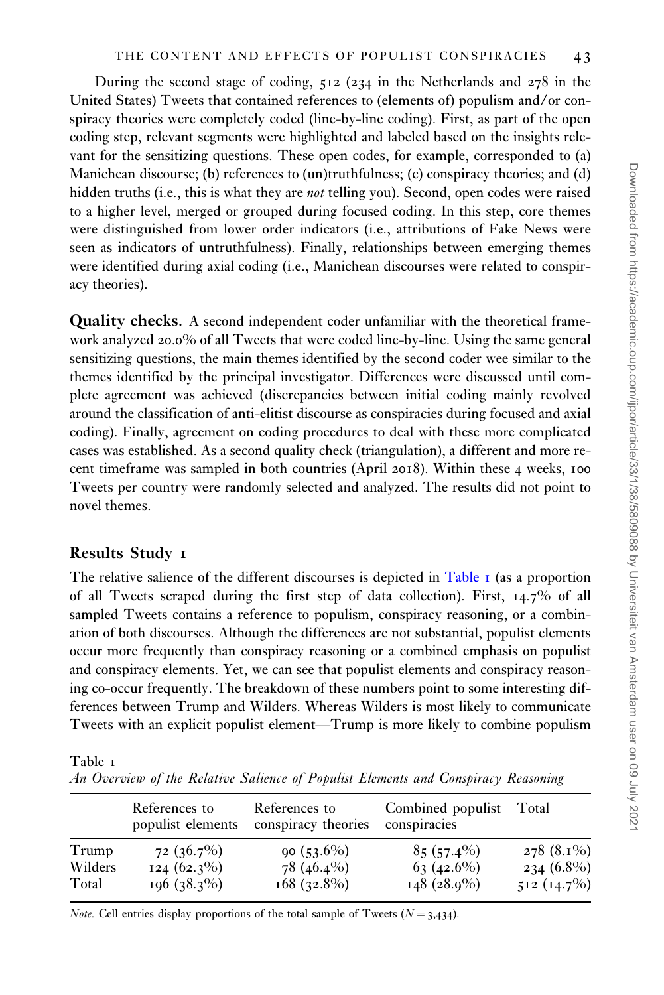During the second stage of coding,  $512$  ( $234$  in the Netherlands and  $278$  in the United States) Tweets that contained references to (elements of) populism and/or conspiracy theories were completely coded (line-by-line coding). First, as part of the open coding step, relevant segments were highlighted and labeled based on the insights relevant for the sensitizing questions. These open codes, for example, corresponded to (a) Manichean discourse; (b) references to (un)truthfulness; (c) conspiracy theories; and (d) hidden truths (i.e., this is what they are *not* telling you). Second, open codes were raised to a higher level, merged or grouped during focused coding. In this step, core themes were distinguished from lower order indicators (i.e., attributions of Fake News were seen as indicators of untruthfulness). Finally, relationships between emerging themes were identified during axial coding (i.e., Manichean discourses were related to conspiracy theories).

Quality checks. A second independent coder unfamiliar with the theoretical framework analyzed 20.0% of all Tweets that were coded line-by-line. Using the same general sensitizing questions, the main themes identified by the second coder wee similar to the themes identified by the principal investigator. Differences were discussed until complete agreement was achieved (discrepancies between initial coding mainly revolved around the classification of anti-elitist discourse as conspiracies during focused and axial coding). Finally, agreement on coding procedures to deal with these more complicated cases was established. As a second quality check (triangulation), a different and more recent timeframe was sampled in both countries (April 2018). Within these 4 weeks, 100 Tweets per country were randomly selected and analyzed. The results did not point to novel themes.

## Results Study 1

The relative salience of the different discourses is depicted in Table 1 (as a proportion of all Tweets scraped during the first step of data collection). First, 14.7% of all sampled Tweets contains a reference to populism, conspiracy reasoning, or a combination of both discourses. Although the differences are not substantial, populist elements occur more frequently than conspiracy reasoning or a combined emphasis on populist and conspiracy elements. Yet, we can see that populist elements and conspiracy reasoning co-occur frequently. The breakdown of these numbers point to some interesting differences between Trump and Wilders. Whereas Wilders is most likely to communicate Tweets with an explicit populist element—Trump is more likely to combine populism

Table 1 An Overview of the Relative Salience of Populist Elements and Conspiracy Reasoning

| References to     | References to       | Combined populist | Total                      |
|-------------------|---------------------|-------------------|----------------------------|
| populist elements | conspiracy theories | conspiracies      |                            |
| $72(36.7\%)$      | $90(53.6\%)$        | $85(57.4\%)$      | $278(8.1\%)$               |
|                   |                     |                   | $234(6.8\%)$<br>512(14.7%) |
|                   | $124(62.3\%)$       | $78(46.4\%)$      | $63(42.6\%)$               |
|                   | $196(38.3\%)$       | $168(32.8\%)$     | $148(28.9\%)$              |

*Note.* Cell entries display proportions of the total sample of Tweets ( $N = 3,434$ ).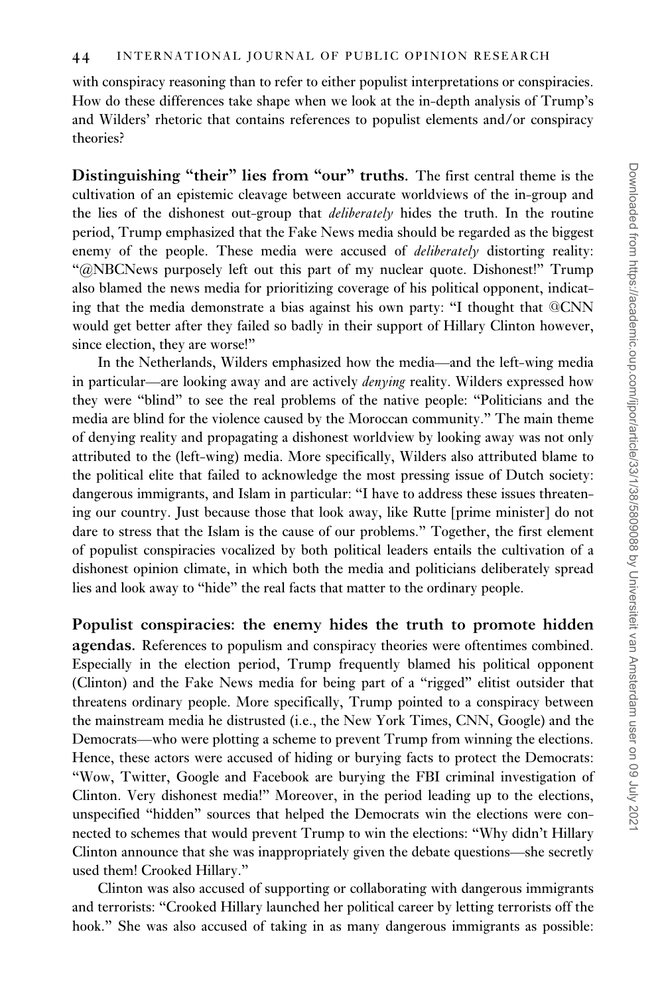with conspiracy reasoning than to refer to either populist interpretations or conspiracies. How do these differences take shape when we look at the in-depth analysis of Trump's and Wilders' rhetoric that contains references to populist elements and/or conspiracy theories?

Distinguishing "their" lies from "our" truths. The first central theme is the cultivation of an epistemic cleavage between accurate worldviews of the in-group and the lies of the dishonest out-group that *deliberately* hides the truth. In the routine period, Trump emphasized that the Fake News media should be regarded as the biggest enemy of the people. These media were accused of *deliberately* distorting reality: "@NBCNews purposely left out this part of my nuclear quote. Dishonest!" Trump also blamed the news media for prioritizing coverage of his political opponent, indicating that the media demonstrate a bias against his own party: "I thought that @CNN would get better after they failed so badly in their support of Hillary Clinton however, since election, they are worse!"

In the Netherlands, Wilders emphasized how the media—and the left-wing media in particular—are looking away and are actively  $denving$  reality. Wilders expressed how they were "blind" to see the real problems of the native people: "Politicians and the media are blind for the violence caused by the Moroccan community." The main theme of denying reality and propagating a dishonest worldview by looking away was not only attributed to the (left-wing) media. More specifically, Wilders also attributed blame to the political elite that failed to acknowledge the most pressing issue of Dutch society: dangerous immigrants, and Islam in particular: "I have to address these issues threatening our country. Just because those that look away, like Rutte [prime minister] do not dare to stress that the Islam is the cause of our problems." Together, the first element of populist conspiracies vocalized by both political leaders entails the cultivation of a dishonest opinion climate, in which both the media and politicians deliberately spread lies and look away to "hide" the real facts that matter to the ordinary people.

Populist conspiracies: the enemy hides the truth to promote hidden agendas. References to populism and conspiracy theories were oftentimes combined. Especially in the election period, Trump frequently blamed his political opponent (Clinton) and the Fake News media for being part of a "rigged" elitist outsider that threatens ordinary people. More specifically, Trump pointed to a conspiracy between the mainstream media he distrusted (i.e., the New York Times, CNN, Google) and the Democrats—who were plotting a scheme to prevent Trump from winning the elections. Hence, these actors were accused of hiding or burying facts to protect the Democrats: "Wow, Twitter, Google and Facebook are burying the FBI criminal investigation of Clinton. Very dishonest media!" Moreover, in the period leading up to the elections, unspecified "hidden" sources that helped the Democrats win the elections were connected to schemes that would prevent Trump to win the elections: "Why didn't Hillary Clinton announce that she was inappropriately given the debate questions—she secretly used them! Crooked Hillary."

Clinton was also accused of supporting or collaborating with dangerous immigrants and terrorists: "Crooked Hillary launched her political career by letting terrorists off the hook." She was also accused of taking in as many dangerous immigrants as possible: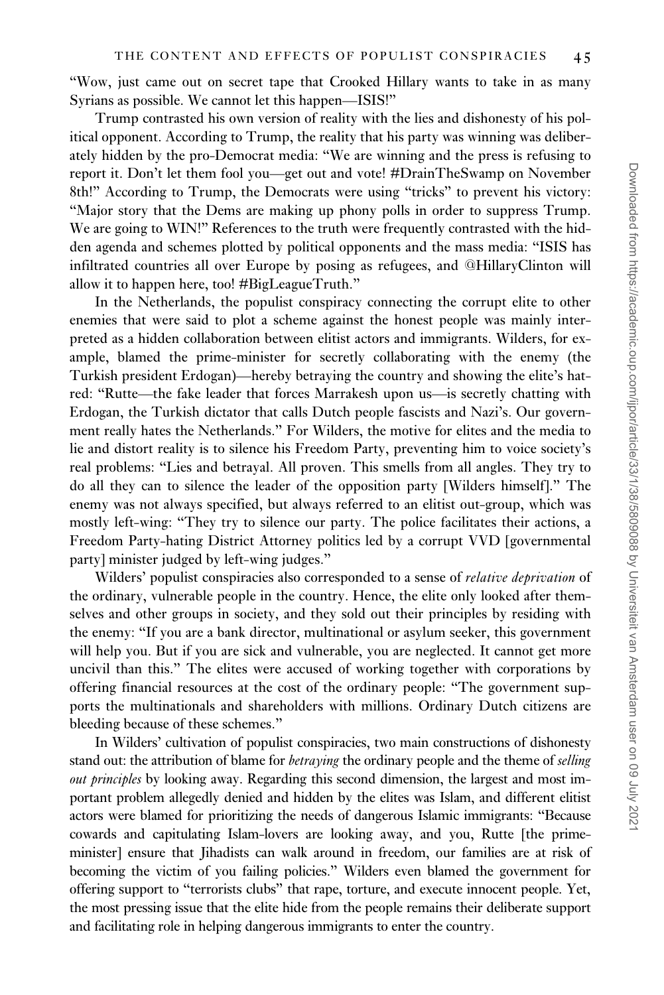"Wow, just came out on secret tape that Crooked Hillary wants to take in as many Syrians as possible. We cannot let this happen—ISIS!"

Trump contrasted his own version of reality with the lies and dishonesty of his political opponent. According to Trump, the reality that his party was winning was deliberately hidden by the pro-Democrat media: "We are winning and the press is refusing to report it. Don't let them fool you—get out and vote! #DrainTheSwamp on November 8th!" According to Trump, the Democrats were using "tricks" to prevent his victory: "Major story that the Dems are making up phony polls in order to suppress Trump. We are going to WIN!" References to the truth were frequently contrasted with the hidden agenda and schemes plotted by political opponents and the mass media: "ISIS has infiltrated countries all over Europe by posing as refugees, and @HillaryClinton will allow it to happen here, too! #BigLeagueTruth."

In the Netherlands, the populist conspiracy connecting the corrupt elite to other enemies that were said to plot a scheme against the honest people was mainly interpreted as a hidden collaboration between elitist actors and immigrants. Wilders, for example, blamed the prime-minister for secretly collaborating with the enemy (the Turkish president Erdogan)—hereby betraying the country and showing the elite's hatred: "Rutte—the fake leader that forces Marrakesh upon us—is secretly chatting with Erdogan, the Turkish dictator that calls Dutch people fascists and Nazi's. Our government really hates the Netherlands." For Wilders, the motive for elites and the media to lie and distort reality is to silence his Freedom Party, preventing him to voice society's real problems: "Lies and betrayal. All proven. This smells from all angles. They try to do all they can to silence the leader of the opposition party [Wilders himself]." The enemy was not always specified, but always referred to an elitist out-group, which was mostly left-wing: "They try to silence our party. The police facilitates their actions, a Freedom Party-hating District Attorney politics led by a corrupt VVD [governmental party] minister judged by left-wing judges."

Wilders' populist conspiracies also corresponded to a sense of *relative deprivation* of the ordinary, vulnerable people in the country. Hence, the elite only looked after themselves and other groups in society, and they sold out their principles by residing with the enemy: "If you are a bank director, multinational or asylum seeker, this government will help you. But if you are sick and vulnerable, you are neglected. It cannot get more uncivil than this." The elites were accused of working together with corporations by offering financial resources at the cost of the ordinary people: "The government supports the multinationals and shareholders with millions. Ordinary Dutch citizens are bleeding because of these schemes."

In Wilders' cultivation of populist conspiracies, two main constructions of dishonesty stand out: the attribution of blame for *betraying* the ordinary people and the theme of *selling* out principles by looking away. Regarding this second dimension, the largest and most important problem allegedly denied and hidden by the elites was Islam, and different elitist actors were blamed for prioritizing the needs of dangerous Islamic immigrants: "Because cowards and capitulating Islam-lovers are looking away, and you, Rutte [the primeminister] ensure that Jihadists can walk around in freedom, our families are at risk of becoming the victim of you failing policies." Wilders even blamed the government for offering support to "terrorists clubs" that rape, torture, and execute innocent people. Yet, the most pressing issue that the elite hide from the people remains their deliberate support and facilitating role in helping dangerous immigrants to enter the country.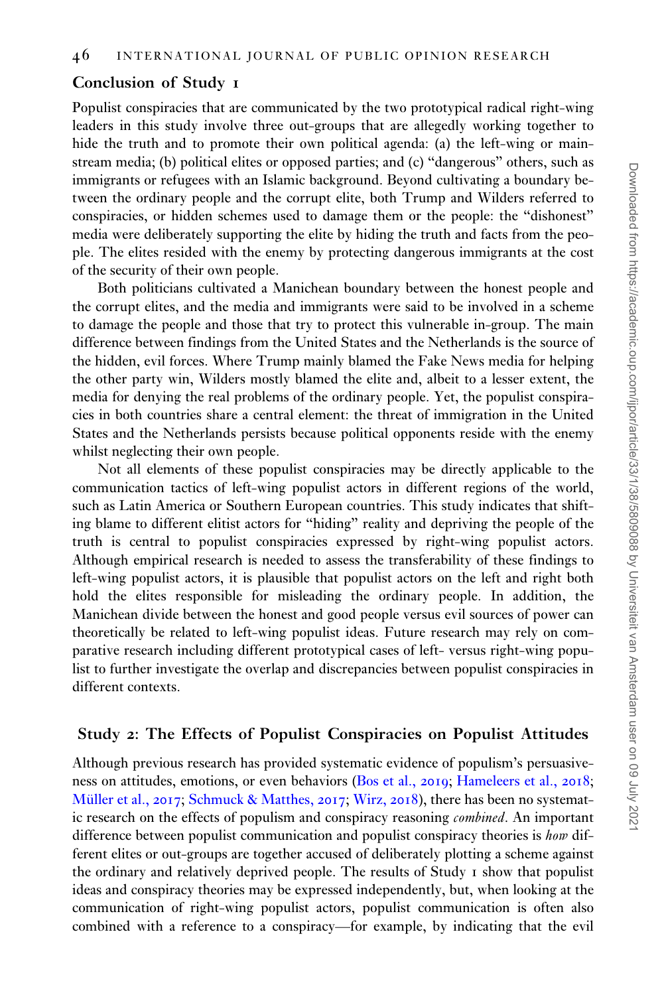#### Conclusion of Study 1

Populist conspiracies that are communicated by the two prototypical radical right-wing leaders in this study involve three out-groups that are allegedly working together to hide the truth and to promote their own political agenda: (a) the left-wing or mainstream media; (b) political elites or opposed parties; and (c) "dangerous" others, such as immigrants or refugees with an Islamic background. Beyond cultivating a boundary between the ordinary people and the corrupt elite, both Trump and Wilders referred to conspiracies, or hidden schemes used to damage them or the people: the "dishonest" media were deliberately supporting the elite by hiding the truth and facts from the people. The elites resided with the enemy by protecting dangerous immigrants at the cost of the security of their own people.

Both politicians cultivated a Manichean boundary between the honest people and the corrupt elites, and the media and immigrants were said to be involved in a scheme to damage the people and those that try to protect this vulnerable in-group. The main difference between findings from the United States and the Netherlands is the source of the hidden, evil forces. Where Trump mainly blamed the Fake News media for helping the other party win, Wilders mostly blamed the elite and, albeit to a lesser extent, the media for denying the real problems of the ordinary people. Yet, the populist conspiracies in both countries share a central element: the threat of immigration in the United States and the Netherlands persists because political opponents reside with the enemy whilst neglecting their own people.

Not all elements of these populist conspiracies may be directly applicable to the communication tactics of left-wing populist actors in different regions of the world, such as Latin America or Southern European countries. This study indicates that shifting blame to different elitist actors for "hiding" reality and depriving the people of the truth is central to populist conspiracies expressed by right-wing populist actors. Although empirical research is needed to assess the transferability of these findings to left-wing populist actors, it is plausible that populist actors on the left and right both hold the elites responsible for misleading the ordinary people. In addition, the Manichean divide between the honest and good people versus evil sources of power can theoretically be related to left-wing populist ideas. Future research may rely on comparative research including different prototypical cases of left- versus right-wing populist to further investigate the overlap and discrepancies between populist conspiracies in different contexts.

### Study 2: The Effects of Populist Conspiracies on Populist Attitudes

Although previous research has provided systematic evidence of populism's persuasiveness on attitudes, emotions, or even behaviors ([Bos et al.,](#page-17-0) 2019; [Hameleers et al.,](#page-18-0) 2018; Müller et al., 2017; [Schmuck & Matthes,](#page-19-0) 2017; [Wirz,](#page-19-0) 2018), there has been no systematic research on the effects of populism and conspiracy reasoning *combined*. An important difference between populist communication and populist conspiracy theories is how different elites or out-groups are together accused of deliberately plotting a scheme against the ordinary and relatively deprived people. The results of Study 1 show that populist ideas and conspiracy theories may be expressed independently, but, when looking at the communication of right-wing populist actors, populist communication is often also combined with a reference to a conspiracy—for example, by indicating that the evil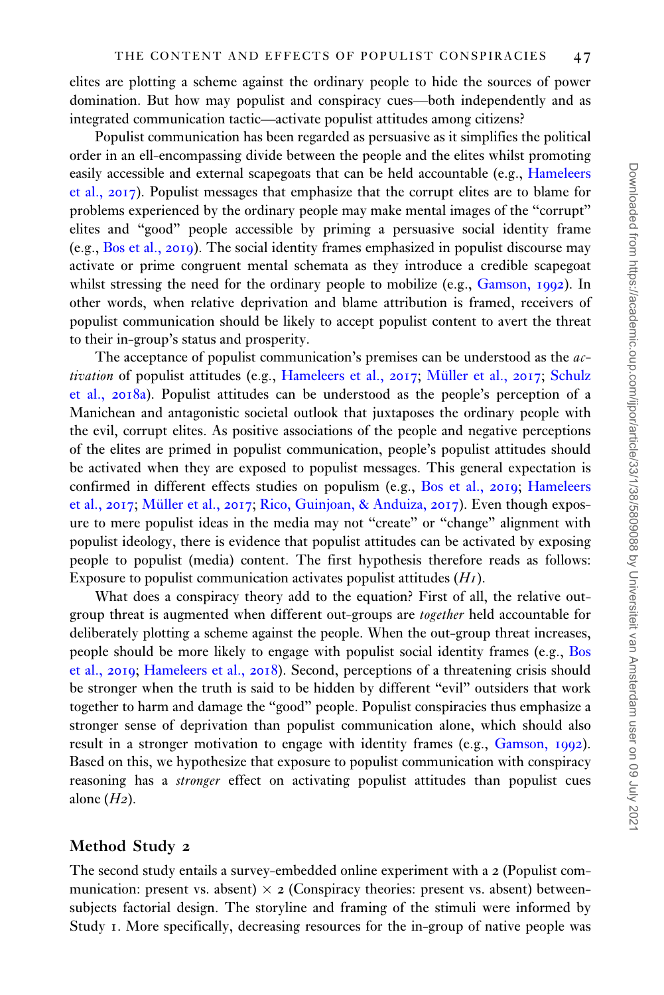elites are plotting a scheme against the ordinary people to hide the sources of power domination. But how may populist and conspiracy cues—both independently and as integrated communication tactic—activate populist attitudes among citizens?

Populist communication has been regarded as persuasive as it simplifies the political order in an ell-encompassing divide between the people and the elites whilst promoting easily accessible and external scapegoats that can be held accountable (e.g., [Hameleers](#page-18-0) [et al.,](#page-18-0) 2017). Populist messages that emphasize that the corrupt elites are to blame for problems experienced by the ordinary people may make mental images of the "corrupt" elites and "good" people accessible by priming a persuasive social identity frame (e.g., [Bos et al.,](#page-17-0) 2019). The social identity frames emphasized in populist discourse may activate or prime congruent mental schemata as they introduce a credible scapegoat whilst stressing the need for the ordinary people to mobilize (e.g., [Gamson,](#page-18-0) 1992). In other words, when relative deprivation and blame attribution is framed, receivers of populist communication should be likely to accept populist content to avert the threat to their in-group's status and prosperity.

The acceptance of populist communication's premises can be understood as the ac-tivation of populist attitudes (e.g., [Hameleers et al.,](#page-18-0) 2017; Müller et al., 2017; [Schulz](#page-19-0) [et al.,](#page-19-0) 2018a). Populist attitudes can be understood as the people's perception of a Manichean and antagonistic societal outlook that juxtaposes the ordinary people with the evil, corrupt elites. As positive associations of the people and negative perceptions of the elites are primed in populist communication, people's populist attitudes should be activated when they are exposed to populist messages. This general expectation is confirmed in different effects studies on populism (e.g., [Bos et al.,](#page-17-0) 2019; [Hameleers](#page-18-0) [et al.,](#page-18-0) 2017; Müller et al., 2017; [Rico, Guinjoan,](#page-19-0) [& Anduiza,](#page-19-0) 2017). Even though exposure to mere populist ideas in the media may not "create" or "change" alignment with populist ideology, there is evidence that populist attitudes can be activated by exposing people to populist (media) content. The first hypothesis therefore reads as follows: Exposure to populist communication activates populist attitudes  $(H_I)$ .

What does a conspiracy theory add to the equation? First of all, the relative outgroup threat is augmented when different out-groups are *together* held accountable for deliberately plotting a scheme against the people. When the out-group threat increases, people should be more likely to engage with populist social identity frames (e.g., [Bos](#page-17-0) [et al.,](#page-17-0) 2019; [Hameleers et al.,](#page-18-0) 2018). Second, perceptions of a threatening crisis should be stronger when the truth is said to be hidden by different "evil" outsiders that work together to harm and damage the "good" people. Populist conspiracies thus emphasize a stronger sense of deprivation than populist communication alone, which should also result in a stronger motivation to engage with identity frames (e.g., [Gamson,](#page-18-0) 1992). Based on this, we hypothesize that exposure to populist communication with conspiracy reasoning has a stronger effect on activating populist attitudes than populist cues alone  $(H_2)$ .

## Method Study 2

The second study entails a survey-embedded online experiment with a 2 (Populist communication: present vs. absent)  $\times$  2 (Conspiracy theories: present vs. absent) betweensubjects factorial design. The storyline and framing of the stimuli were informed by Study 1. More specifically, decreasing resources for the in-group of native people was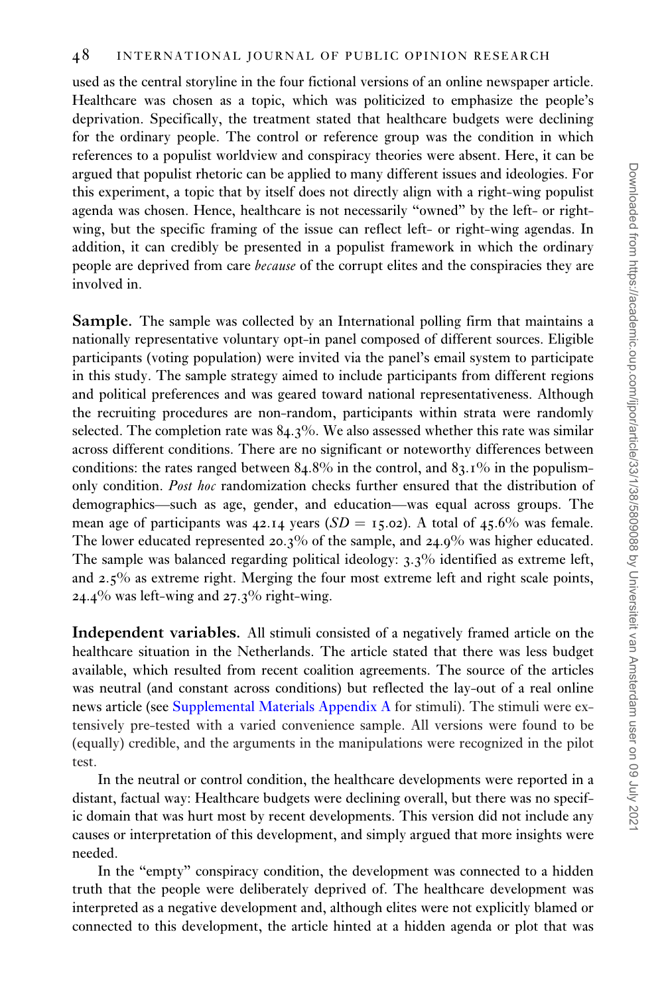used as the central storyline in the four fictional versions of an online newspaper article. Healthcare was chosen as a topic, which was politicized to emphasize the people's deprivation. Specifically, the treatment stated that healthcare budgets were declining for the ordinary people. The control or reference group was the condition in which references to a populist worldview and conspiracy theories were absent. Here, it can be argued that populist rhetoric can be applied to many different issues and ideologies. For this experiment, a topic that by itself does not directly align with a right-wing populist agenda was chosen. Hence, healthcare is not necessarily "owned" by the left- or rightwing, but the specific framing of the issue can reflect left- or right-wing agendas. In addition, it can credibly be presented in a populist framework in which the ordinary people are deprived from care because of the corrupt elites and the conspiracies they are involved in.

Sample. The sample was collected by an International polling firm that maintains a nationally representative voluntary opt-in panel composed of different sources. Eligible participants (voting population) were invited via the panel's email system to participate in this study. The sample strategy aimed to include participants from different regions and political preferences and was geared toward national representativeness. Although the recruiting procedures are non-random, participants within strata were randomly selected. The completion rate was 84.3%. We also assessed whether this rate was similar across different conditions. There are no significant or noteworthy differences between conditions: the rates ranged between  $84.8\%$  in the control, and  $83.1\%$  in the populismonly condition. Post hoc randomization checks further ensured that the distribution of demographics—such as age, gender, and education—was equal across groups. The mean age of participants was 42.14 years ( $SD = 15.02$ ). A total of 45.6% was female. The lower educated represented 20.3% of the sample, and 24.9% was higher educated. The sample was balanced regarding political ideology: 3.3% identified as extreme left, and 2.5% as extreme right. Merging the four most extreme left and right scale points, 24.4% was left-wing and 27.3% right-wing.

Independent variables. All stimuli consisted of a negatively framed article on the healthcare situation in the Netherlands. The article stated that there was less budget available, which resulted from recent coalition agreements. The source of the articles was neutral (and constant across conditions) but reflected the lay-out of a real online news article (see [Supplemental Materials Appendix A](https://academic.oup.com/ijpor/article-lookup/doi/10.1093/ijpor/edaa004#supplementary-data) for stimuli). The stimuli were extensively pre-tested with a varied convenience sample. All versions were found to be (equally) credible, and the arguments in the manipulations were recognized in the pilot test.

In the neutral or control condition, the healthcare developments were reported in a distant, factual way: Healthcare budgets were declining overall, but there was no specific domain that was hurt most by recent developments. This version did not include any causes or interpretation of this development, and simply argued that more insights were needed.

In the "empty" conspiracy condition, the development was connected to a hidden truth that the people were deliberately deprived of. The healthcare development was interpreted as a negative development and, although elites were not explicitly blamed or connected to this development, the article hinted at a hidden agenda or plot that was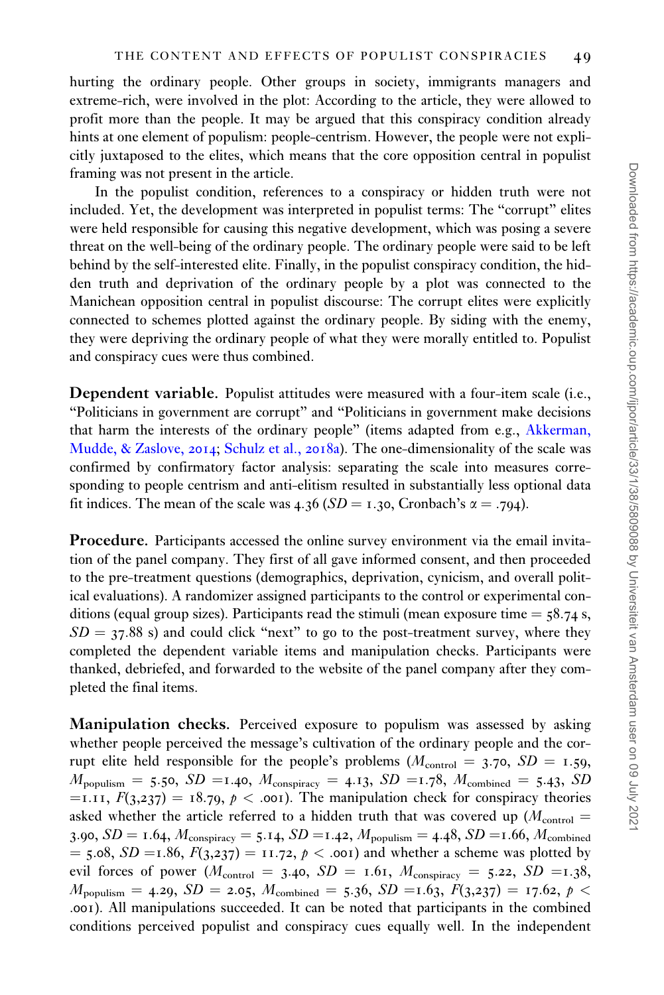hurting the ordinary people. Other groups in society, immigrants managers and extreme-rich, were involved in the plot: According to the article, they were allowed to profit more than the people. It may be argued that this conspiracy condition already hints at one element of populism: people-centrism. However, the people were not explicitly juxtaposed to the elites, which means that the core opposition central in populist framing was not present in the article.

In the populist condition, references to a conspiracy or hidden truth were not included. Yet, the development was interpreted in populist terms: The "corrupt" elites were held responsible for causing this negative development, which was posing a severe threat on the well-being of the ordinary people. The ordinary people were said to be left behind by the self-interested elite. Finally, in the populist conspiracy condition, the hidden truth and deprivation of the ordinary people by a plot was connected to the Manichean opposition central in populist discourse: The corrupt elites were explicitly connected to schemes plotted against the ordinary people. By siding with the enemy, they were depriving the ordinary people of what they were morally entitled to. Populist and conspiracy cues were thus combined.

Dependent variable. Populist attitudes were measured with a four-item scale (i.e., "Politicians in government are corrupt" and "Politicians in government make decisions that harm the interests of the ordinary people" (items adapted from e.g., [Akkerman,](#page-17-0) [Mudde, & Zaslove,](#page-17-0) 2014; [Schulz et al.,](#page-19-0) 2018a). The one-dimensionality of the scale was confirmed by confirmatory factor analysis: separating the scale into measures corresponding to people centrism and anti-elitism resulted in substantially less optional data fit indices. The mean of the scale was 4.36 ( $SD = 1.30$ , Cronbach's  $\alpha = .794$ ).

Procedure. Participants accessed the online survey environment via the email invitation of the panel company. They first of all gave informed consent, and then proceeded to the pre-treatment questions (demographics, deprivation, cynicism, and overall political evaluations). A randomizer assigned participants to the control or experimental conditions (equal group sizes). Participants read the stimuli (mean exposure time  $=$  58.74 s,  $SD = 37.88$  s) and could click "next" to go to the post-treatment survey, where they completed the dependent variable items and manipulation checks. Participants were thanked, debriefed, and forwarded to the website of the panel company after they completed the final items.

Manipulation checks. Perceived exposure to populism was assessed by asking whether people perceived the message's cultivation of the ordinary people and the corrupt elite held responsible for the people's problems ( $M_{\text{control}} = 3.70$ ,  $SD = 1.59$ ,  $M_{\text{populism}} = 5.50, SD = 1.40, M_{\text{conspiracy}} = 4.13, SD = 1.78, M_{\text{combined}} = 5.43, SD$  $=1.11$ ,  $F(3,237) = 18.79$ ,  $p < .001$ ). The manipulation check for conspiracy theories asked whether the article referred to a hidden truth that was covered up ( $M_{\text{control}} =$ 3.90,  $SD = 1.64$ ,  $M_{\text{conspiracy}} = 5.14$ ,  $SD = 1.42$ ,  $M_{\text{populism}} = 4.48$ ,  $SD = 1.66$ ,  $M_{\text{combined}}$  $=$  5.08, SD = 1.86,  $F(3,237) = 11.72, p < .001$  and whether a scheme was plotted by evil forces of power ( $M_{\text{control}} = 3.40, SD = 1.61, M_{\text{conspiracy}} = 5.22, SD = 1.38,$  $M_{\text{populism}} = 4.29, SD = 2.05, M_{\text{combined}} = 5.36, SD = 1.63, F(3,237) = 17.62, p <$ .001). All manipulations succeeded. It can be noted that participants in the combined conditions perceived populist and conspiracy cues equally well. In the independent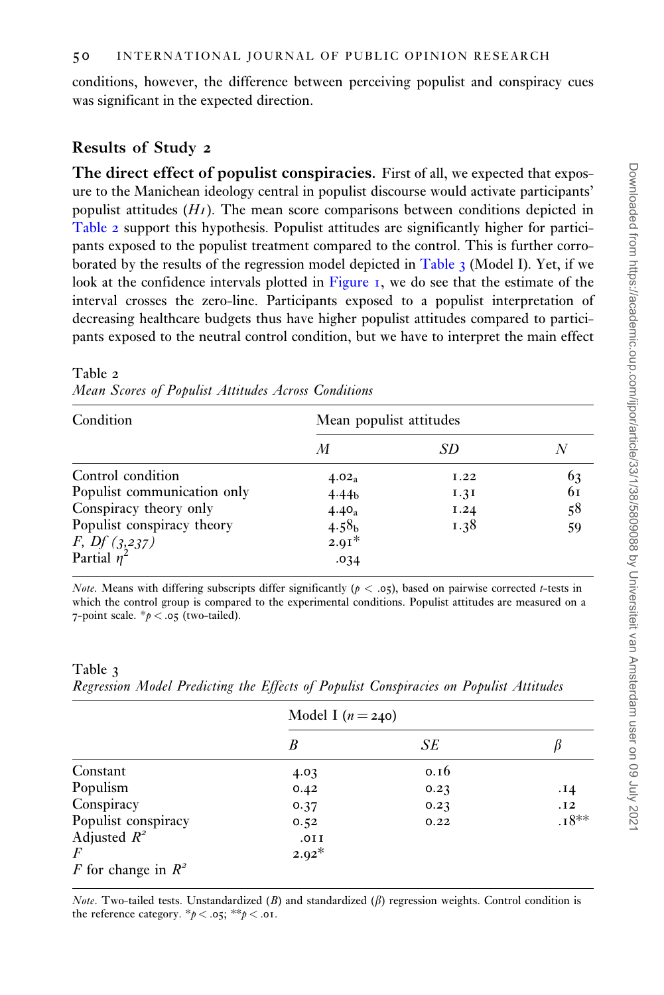<span id="page-13-0"></span>conditions, however, the difference between perceiving populist and conspiracy cues was significant in the expected direction.

# Results of Study 2

Table 2

The direct effect of populist conspiracies. First of all, we expected that exposure to the Manichean ideology central in populist discourse would activate participants' populist attitudes  $(HI)$ . The mean score comparisons between conditions depicted in Table 2 support this hypothesis. Populist attitudes are significantly higher for participants exposed to the populist treatment compared to the control. This is further corroborated by the results of the regression model depicted in Table 3 (Model I). Yet, if we look at the confidence intervals plotted in [Figure](#page-14-0) 1, we do see that the estimate of the interval crosses the zero-line. Participants exposed to a populist interpretation of decreasing healthcare budgets thus have higher populist attitudes compared to participants exposed to the neutral control condition, but we have to interpret the main effect

| Condition                           | Mean populist attitudes |      |    |  |
|-------------------------------------|-------------------------|------|----|--|
|                                     | М                       | SD   |    |  |
| Control condition                   | $4.02_a$                | I.22 | 63 |  |
| Populist communication only         | 4.44 <sub>b</sub>       | 1.31 | 61 |  |
| Conspiracy theory only              | 4.40a                   | I.24 | 58 |  |
| Populist conspiracy theory          | 4.58 <sub>b</sub>       | 1.38 | 59 |  |
|                                     | $2.91*$                 |      |    |  |
| F, Df $(3,237)$<br>Partial $\eta^2$ | .034                    |      |    |  |

|  |  |  | Mean Scores of Populist Attitudes Across Conditions |
|--|--|--|-----------------------------------------------------|

*Note.* Means with differing subscripts differ significantly ( $p < .05$ ), based on pairwise corrected t-tests in which the control group is compared to the experimental conditions. Populist attitudes are measured on a 7-point scale.  $*\,p\,<\,05$  (two-tailed).

|                       | Model I $(n=240)$ |      |         |  |
|-----------------------|-------------------|------|---------|--|
|                       | B                 | SE   |         |  |
| Constant              | 4.03              | 0.16 |         |  |
| Populism              | 0.42              | 0.23 | .14     |  |
| Conspiracy            | 0.37              | 0.23 | .12     |  |
| Populist conspiracy   | 0.52              | 0.22 | $.18**$ |  |
| Adjusted $R^2$        | .011              |      |         |  |
| F                     | $2.92*$           |      |         |  |
| F for change in $R^2$ |                   |      |         |  |

Table 3 Regression Model Predicting the Effects of Populist Conspiracies on Populist Attitudes

*Note.* Two-tailed tests. Unstandardized (B) and standardized ( $\beta$ ) regression weights. Control condition is the reference category.  $*\rho < .05$ ;  $**\rho < .01$ .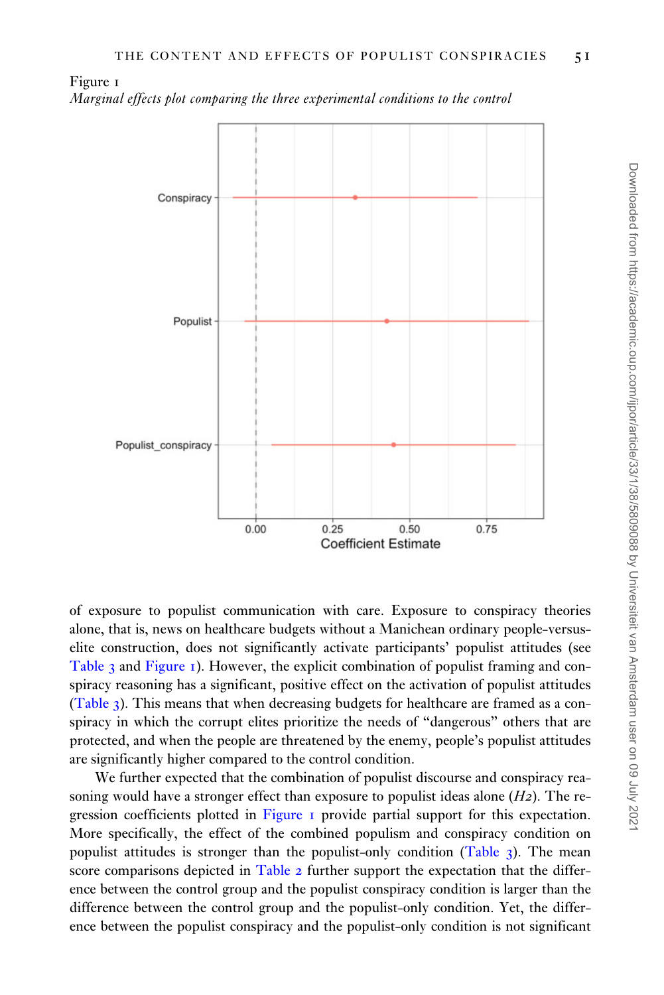<span id="page-14-0"></span>Figure 1

Marginal effects plot comparing the three experimental conditions to the control



of exposure to populist communication with care. Exposure to conspiracy theories alone, that is, news on healthcare budgets without a Manichean ordinary people-versuselite construction, does not significantly activate participants' populist attitudes (see [Table](#page-13-0) 3 and Figure 1). However, the explicit combination of populist framing and conspiracy reasoning has a significant, positive effect on the activation of populist attitudes [\(Table](#page-13-0) 3). This means that when decreasing budgets for healthcare are framed as a conspiracy in which the corrupt elites prioritize the needs of "dangerous" others that are protected, and when the people are threatened by the enemy, people's populist attitudes are significantly higher compared to the control condition.

We further expected that the combination of populist discourse and conspiracy reasoning would have a stronger effect than exposure to populist ideas alone  $(H_2)$ . The regression coefficients plotted in Figure 1 provide partial support for this expectation. More specifically, the effect of the combined populism and conspiracy condition on populist attitudes is stronger than the populist-only condition ([Table](#page-13-0) 3). The mean score comparisons depicted in [Table](#page-13-0) 2 further support the expectation that the difference between the control group and the populist conspiracy condition is larger than the difference between the control group and the populist-only condition. Yet, the difference between the populist conspiracy and the populist-only condition is not significant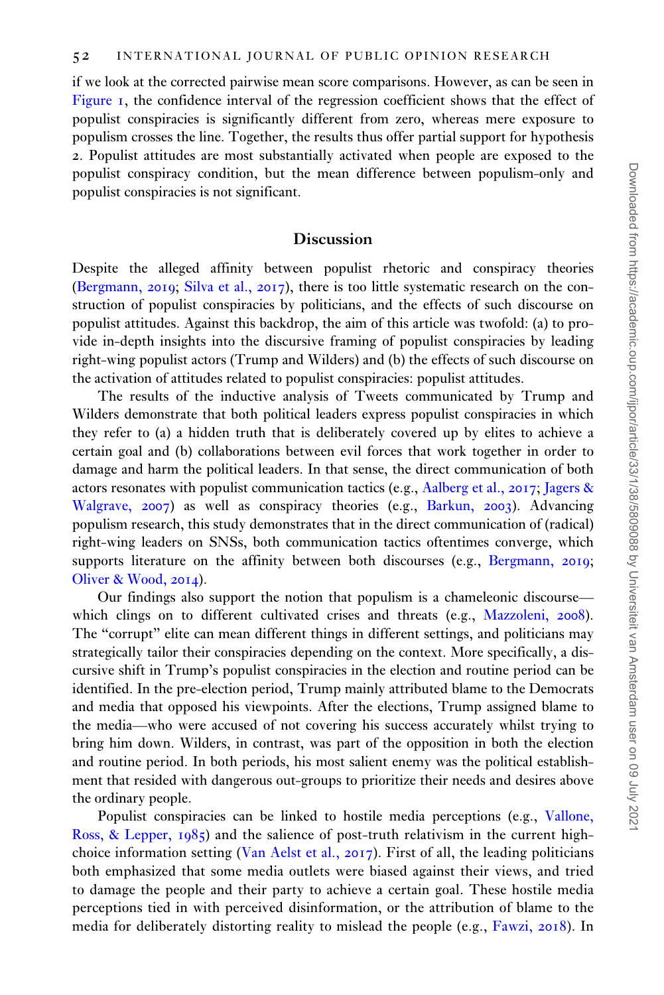if we look at the corrected pairwise mean score comparisons. However, as can be seen in [Figure](#page-14-0) 1, the confidence interval of the regression coefficient shows that the effect of populist conspiracies is significantly different from zero, whereas mere exposure to populism crosses the line. Together, the results thus offer partial support for hypothesis 2. Populist attitudes are most substantially activated when people are exposed to the populist conspiracy condition, but the mean difference between populism-only and populist conspiracies is not significant.

#### Discussion

Despite the alleged affinity between populist rhetoric and conspiracy theories [\(Bergmann,](#page-17-0) 2019; [Silva et al.,](#page-19-0) 2017), there is too little systematic research on the construction of populist conspiracies by politicians, and the effects of such discourse on populist attitudes. Against this backdrop, the aim of this article was twofold: (a) to provide in-depth insights into the discursive framing of populist conspiracies by leading right-wing populist actors (Trump and Wilders) and (b) the effects of such discourse on the activation of attitudes related to populist conspiracies: populist attitudes.

The results of the inductive analysis of Tweets communicated by Trump and Wilders demonstrate that both political leaders express populist conspiracies in which they refer to (a) a hidden truth that is deliberately covered up by elites to achieve a certain goal and (b) collaborations between evil forces that work together in order to damage and harm the political leaders. In that sense, the direct communication of both actors resonates with populist communication tactics (e.g., [Aalberg et al.,](#page-17-0) 2017; [Jagers](#page-18-0) & [Walgrave,](#page-18-0) 2007) as well as conspiracy theories (e.g., [Barkun,](#page-17-0) 2003). Advancing populism research, this study demonstrates that in the direct communication of (radical) right-wing leaders on SNSs, both communication tactics oftentimes converge, which supports literature on the affinity between both discourses (e.g., [Bergmann,](#page-17-0) 2019; [Oliver & Wood,](#page-18-0) 2014).

Our findings also support the notion that populism is a chameleonic discourse— which clings on to different cultivated crises and threats (e.g., [Mazzoleni,](#page-18-0) 2008). The "corrupt" elite can mean different things in different settings, and politicians may strategically tailor their conspiracies depending on the context. More specifically, a discursive shift in Trump's populist conspiracies in the election and routine period can be identified. In the pre-election period, Trump mainly attributed blame to the Democrats and media that opposed his viewpoints. After the elections, Trump assigned blame to the media—who were accused of not covering his success accurately whilst trying to bring him down. Wilders, in contrast, was part of the opposition in both the election and routine period. In both periods, his most salient enemy was the political establishment that resided with dangerous out-groups to prioritize their needs and desires above the ordinary people.

Populist conspiracies can be linked to hostile media perceptions (e.g., [Vallone,](#page-19-0) [Ross, & Lepper,](#page-19-0) 1985) and the salience of post-truth relativism in the current highchoice information setting ([Van Aelst et al.,](#page-19-0) 2017). First of all, the leading politicians both emphasized that some media outlets were biased against their views, and tried to damage the people and their party to achieve a certain goal. These hostile media perceptions tied in with perceived disinformation, or the attribution of blame to the media for deliberately distorting reality to mislead the people (e.g., [Fawzi,](#page-18-0) 2018). In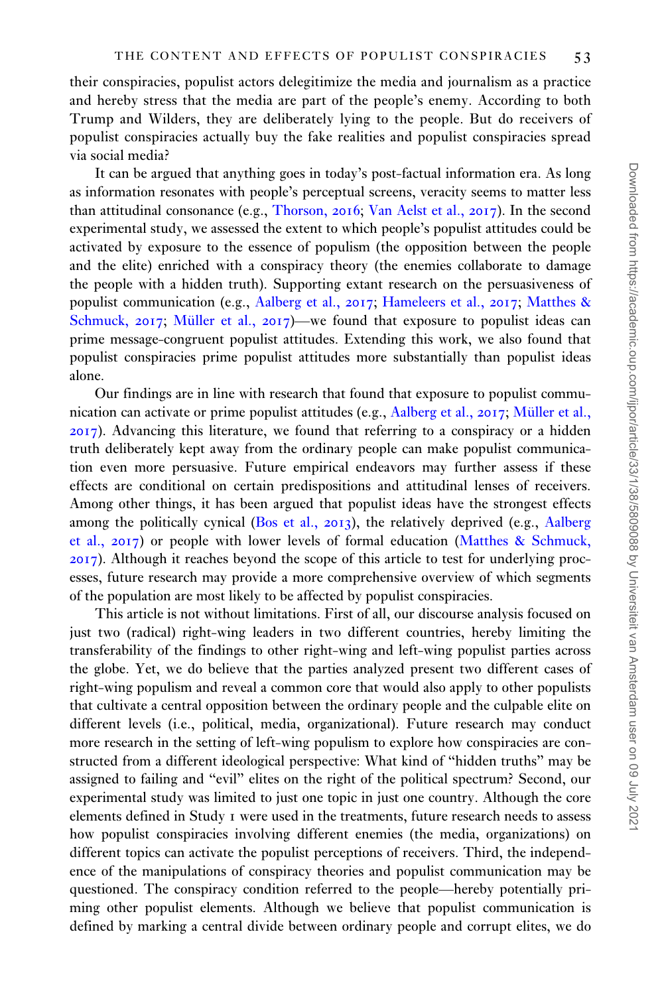their conspiracies, populist actors delegitimize the media and journalism as a practice and hereby stress that the media are part of the people's enemy. According to both Trump and Wilders, they are deliberately lying to the people. But do receivers of populist conspiracies actually buy the fake realities and populist conspiracies spread via social media?

It can be argued that anything goes in today's post-factual information era. As long as information resonates with people's perceptual screens, veracity seems to matter less than attitudinal consonance (e.g., [Thorson,](#page-19-0) 2016; [Van Aelst et al.,](#page-19-0) 2017). In the second experimental study, we assessed the extent to which people's populist attitudes could be activated by exposure to the essence of populism (the opposition between the people and the elite) enriched with a conspiracy theory (the enemies collaborate to damage the people with a hidden truth). Supporting extant research on the persuasiveness of populist communication (e.g., [Aalberg et al.,](#page-17-0) 2017; [Hameleers et al.,](#page-18-0) 2017; [Matthes](#page-18-0) & [Schmuck,](#page-18-0)  $2017$ ; Müller et al.,  $2017$ )—we found that exposure to populist ideas can prime message-congruent populist attitudes. Extending this work, we also found that populist conspiracies prime populist attitudes more substantially than populist ideas alone.

Our findings are in line with research that found that exposure to populist commu-nication can activate or prime populist attitudes (e.g., [Aalberg et al.,](#page-17-0) 2017; Müller et al., [2017](#page-18-0)). Advancing this literature, we found that referring to a conspiracy or a hidden truth deliberately kept away from the ordinary people can make populist communication even more persuasive. Future empirical endeavors may further assess if these effects are conditional on certain predispositions and attitudinal lenses of receivers. Among other things, it has been argued that populist ideas have the strongest effects among the politically cynical ([Bos et al.,](#page-17-0) 2013), the relatively deprived (e.g., [Aalberg](#page-17-0) [et al.,](#page-17-0) 2017) or people with lower levels of formal education [\(Matthes](#page-18-0) [& Schmuck,](#page-18-0) [2017](#page-18-0)). Although it reaches beyond the scope of this article to test for underlying processes, future research may provide a more comprehensive overview of which segments of the population are most likely to be affected by populist conspiracies.

This article is not without limitations. First of all, our discourse analysis focused on just two (radical) right-wing leaders in two different countries, hereby limiting the transferability of the findings to other right-wing and left-wing populist parties across the globe. Yet, we do believe that the parties analyzed present two different cases of right-wing populism and reveal a common core that would also apply to other populists that cultivate a central opposition between the ordinary people and the culpable elite on different levels (i.e., political, media, organizational). Future research may conduct more research in the setting of left-wing populism to explore how conspiracies are constructed from a different ideological perspective: What kind of "hidden truths" may be assigned to failing and "evil" elites on the right of the political spectrum? Second, our experimental study was limited to just one topic in just one country. Although the core elements defined in Study 1 were used in the treatments, future research needs to assess how populist conspiracies involving different enemies (the media, organizations) on different topics can activate the populist perceptions of receivers. Third, the independence of the manipulations of conspiracy theories and populist communication may be questioned. The conspiracy condition referred to the people—hereby potentially priming other populist elements. Although we believe that populist communication is defined by marking a central divide between ordinary people and corrupt elites, we do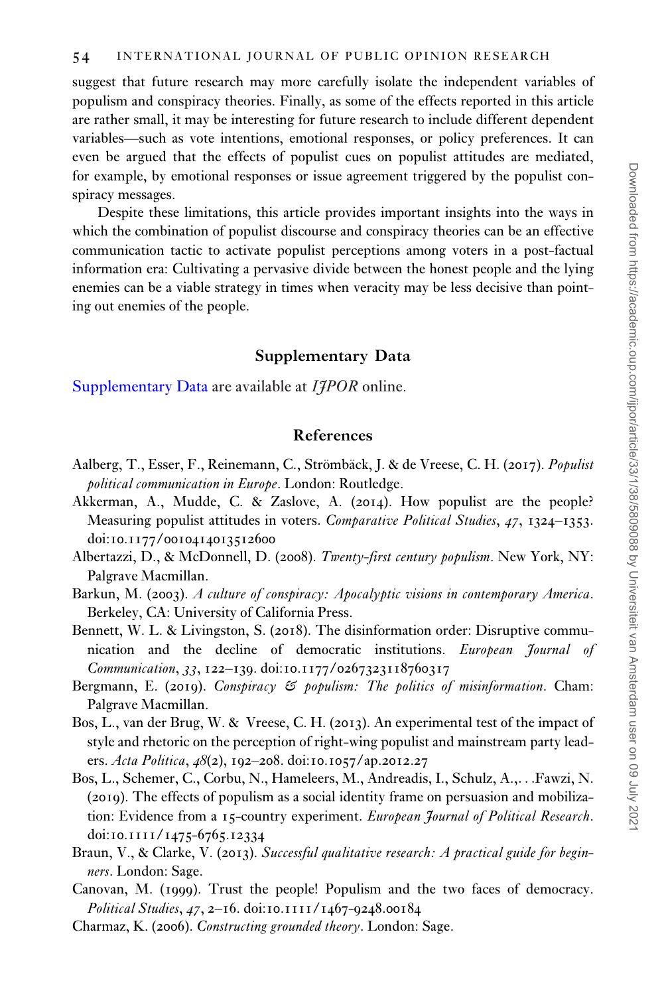<span id="page-17-0"></span>suggest that future research may more carefully isolate the independent variables of populism and conspiracy theories. Finally, as some of the effects reported in this article are rather small, it may be interesting for future research to include different dependent variables—such as vote intentions, emotional responses, or policy preferences. It can even be argued that the effects of populist cues on populist attitudes are mediated, for example, by emotional responses or issue agreement triggered by the populist conspiracy messages.

Despite these limitations, this article provides important insights into the ways in which the combination of populist discourse and conspiracy theories can be an effective communication tactic to activate populist perceptions among voters in a post-factual information era: Cultivating a pervasive divide between the honest people and the lying enemies can be a viable strategy in times when veracity may be less decisive than pointing out enemies of the people.

#### Supplementary Data

[Supplementary Data](https://academic.oup.com/ijpor/article-lookup/doi/10.1093/ijpor/edaa004#supplementary-data) are available at *IIPOR* online.

### References

- Aalberg, T., Esser, F., Reinemann, C., Strömbäck, J. & de Vreese, C. H. (2017). Populist political communication in Europe. London: Routledge.
- Akkerman, A., Mudde, C. & Zaslove, A. (2014). How populist are the people? Measuring populist attitudes in voters. Comparative Political Studies, 47, 1324–1353. doi:10.1177/0010414013512600
- Albertazzi, D., & McDonnell, D. (2008). Twenty-first century populism. New York, NY: Palgrave Macmillan.
- Barkun, M. (2003). A culture of conspiracy: Apocalyptic visions in contemporary America. Berkeley, CA: University of California Press.
- Bennett, W. L. & Livingston, S. (2018). The disinformation order: Disruptive communication and the decline of democratic institutions. European Journal of Communication, 33, 122–139. doi:10.1177/0267323118760317
- Bergmann, E. (2019). Conspiracy  $\mathfrak S$  populism: The politics of misinformation. Cham: Palgrave Macmillan.
- Bos, L., van der Brug, W. & Vreese, C. H. (2013). An experimental test of the impact of style and rhetoric on the perception of right-wing populist and mainstream party leaders. Acta Politica, 48(2), 192–208. doi:10.1057/ap.2012.27
- Bos, L., Schemer, C., Corbu, N., Hameleers, M., Andreadis, I., Schulz, A.,...Fawzi, N. (2019). The effects of populism as a social identity frame on persuasion and mobilization: Evidence from a 15-country experiment. European Journal of Political Research. doi:10.1111/1475-6765.12334
- Braun, V., & Clarke, V. (2013). Successful qualitative research: A practical guide for beginners. London: Sage.
- Canovan, M. (1999). Trust the people! Populism and the two faces of democracy. Political Studies, 47, 2–16. doi:10.1111/1467-9248.00184
- Charmaz, K. (2006). Constructing grounded theory. London: Sage.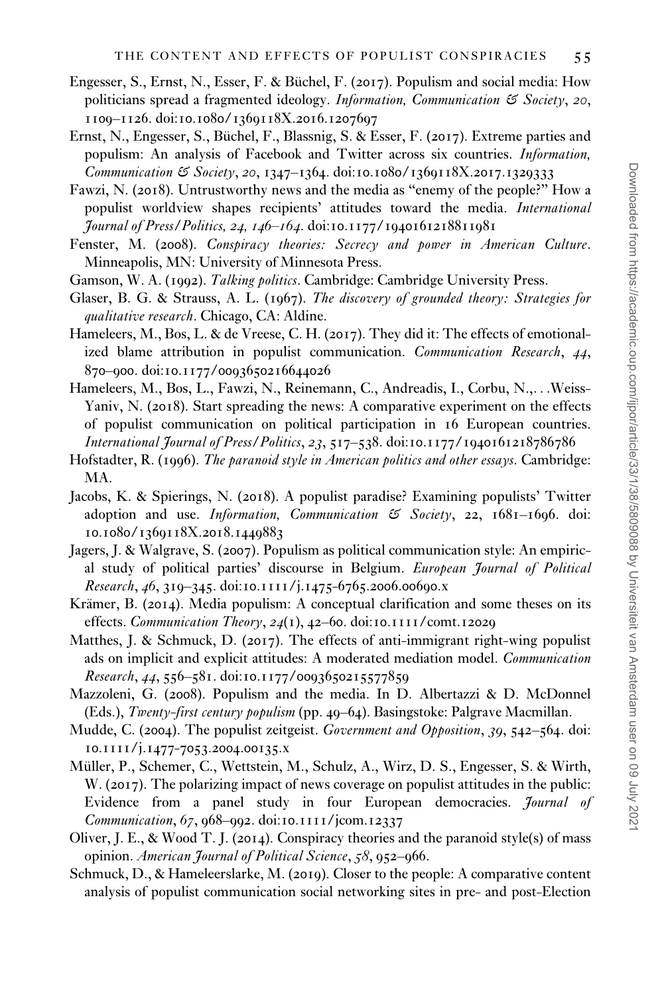- <span id="page-18-0"></span>Engesser, S., Ernst, N., Esser, F. & Büchel, F. (2017). Populism and social media: How politicians spread a fragmented ideology. Information, Communication  $\mathfrak{S}$  Society, 20, 1109–1126. doi:10.1080/1369118X.2016.1207697
- Ernst, N., Engesser, S., Büchel, F., Blassnig, S. & Esser, F. (2017). Extreme parties and populism: An analysis of Facebook and Twitter across six countries. Information, Communication & Society, 20, 1347–1364. doi:10.1080/1369118X.2017.1329333
- Fawzi, N. (2018). Untrustworthy news and the media as "enemy of the people?" How a populist worldview shapes recipients' attitudes toward the media. International Journal of Press/Politics, 24, 146–164. doi:10.1177/1940161218811981
- Fenster, M. (2008). Conspiracy theories: Secrecy and power in American Culture. Minneapolis, MN: University of Minnesota Press.
- Gamson, W. A. (1992). Talking politics. Cambridge: Cambridge University Press.
- Glaser, B. G. & Strauss, A. L. (1967). The discovery of grounded theory: Strategies for qualitative research. Chicago, CA: Aldine.
- Hameleers, M., Bos, L. & de Vreese, C. H. (2017). They did it: The effects of emotionalized blame attribution in populist communication. Communication Research, 44, 870–900. doi:10.1177/0093650216644026
- Hameleers, M., Bos, L., Fawzi, N., Reinemann, C., Andreadis, I., Corbu, N.,...Weiss-Yaniv, N. (2018). Start spreading the news: A comparative experiment on the effects of populist communication on political participation in 16 European countries. International Journal of Press/Politics, 23, 517–538. doi:10.1177/1940161218786786
- Hofstadter, R. (1996). The paranoid style in American politics and other essays. Cambridge: MA.
- Jacobs, K. & Spierings, N. (2018). A populist paradise? Examining populists' Twitter adoption and use. Information, Communication  $\mathfrak{S}$  Society, 22, 1681–1696. doi: 10.1080/1369118X.2018.1449883
- Jagers, J. & Walgrave, S. (2007). Populism as political communication style: An empirical study of political parties' discourse in Belgium. European Journal of Political Research, 46, 319–345. doi:10.1111/j.1475-6765.2006.00690.x
- Krämer, B. (2014). Media populism: A conceptual clarification and some theses on its effects. Communication Theory,  $24(1)$ ,  $42-60$ . doi:10.1111/comt.12029
- Matthes, J. & Schmuck, D. (2017). The effects of anti-immigrant right-wing populist ads on implicit and explicit attitudes: A moderated mediation model. Communication Research, 44, 556–581. doi:10.1177/0093650215577859
- Mazzoleni, G. (2008). Populism and the media. In D. Albertazzi & D. McDonnel (Eds.), Twenty-first century populism (pp. 49–64). Basingstoke: Palgrave Macmillan.
- Mudde, C. (2004). The populist zeitgeist. Government and Opposition, 39, 542–564. doi: 10.1111/j.1477-7053.2004.00135.x
- Müller, P., Schemer, C., Wettstein, M., Schulz, A., Wirz, D. S., Engesser, S. & Wirth, W. (2017). The polarizing impact of news coverage on populist attitudes in the public: Evidence from a panel study in four European democracies. Journal of Communication, 67, 968–992. doi:10.1111[/jcom.](10.1111/jcom.12337)12337
- Oliver, J. E., & Wood T. J. (2014). Conspiracy theories and the paranoid style(s) of mass opinion. American Journal of Political Science, 58, 952–966.
- Schmuck, D., & Hameleerslarke, M. (2019). Closer to the people: A comparative content analysis of populist communication social networking sites in pre- and post-Election